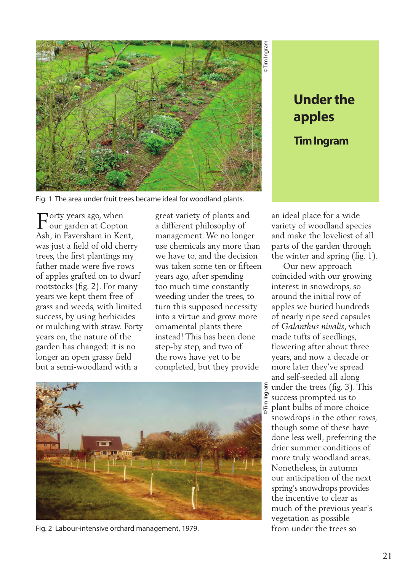

## **apples Tim Ingram**

Fig. 1 The area under fruit trees became ideal for woodland plants.

 $\Gamma_{\text{our garden at Coptor}}^{\text{orty years ago, when}}$ our garden at Copton Ash, in Faversham in Kent, was just a field of old cherry trees, the first plantings my father made were five rows of apples grafted on to dwarf rootstocks (fig. 2). For many years we kept them free of grass and weeds, with limited success, by using herbicides or mulching with straw. Forty years on, the nature of the garden has changed: it is no longer an open grassy field but a semi-woodland with a

great variety of plants and a different philosophy of management. We no longer use chemicals any more than we have to, and the decision was taken some ten or fifteen years ago, after spending too much time constantly weeding under the trees, to turn this supposed necessity into a virtue and grow more ornamental plants there instead! This has been done step-by step, and two of the rows have yet to be completed, but they provide



Fig. 2 Labour-intensive orchard management, 1979.

an ideal place for a wide variety of woodland species and make the loveliest of all parts of the garden through the winter and spring (fig. 1).

**Under the**<br> **apples**<br> **Tim Ingram**<br> **a** place for a wide<br>
y of woodland species<br>
ake the loveliest of all<br>
of the garden through<br>
inter and spring (fig. 1).<br>
in rew approach<br>
ded with our growing<br>
st in snowdrops, so<br>
d t Our new approach coincided with our growing interest in snowdrops, so around the initial row of apples we buried hundreds of nearly ripe seed capsules of *Galanthus nivalis*, which made tufts of seedlings, flowering after about three years, and now a decade or more later they've spread and self-seeded all along under the trees (fig. 3). This success prompted us to plant bulbs of more choice snowdrops in the other rows, though some of these have done less well, preferring the drier summer conditions of more truly woodland areas. Nonetheless, in autumn our anticipation of the next spring's snowdrops provides the incentive to clear as much of the previous year's vegetation as possible from under the trees so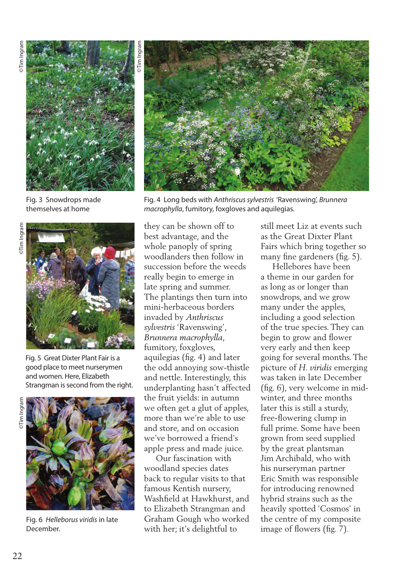

Fig. 3 Snowdrops made themselves at home



Fig. 5 Great Dixter Plant Fair is a good place to meet nurserymen and women. Here, Elizabeth Strangman is second from the right.



Fig. 6 *Helleborus viridis* in late December.



Fig. 4 Long beds with *Anthriscus sylvestris* 'Ravenswing', *Brunnera macrophylla*, fumitory, foxgloves and aquilegias.

they can be shown off to best advantage, and the whole panoply of spring woodlanders then follow in succession before the weeds really begin to emerge in late spring and summer. The plantings then turn into mini-herbaceous borders invaded by *Anthriscus sylvestris* 'Ravenswing', *Brunnera macrophylla*, fumitory, foxgloves, aquilegias (fig. 4) and later the odd annoying sow-thistle and nettle. Interestingly, this underplanting hasn't affected the fruit yields: in autumn we often get a glut of apples, more than we're able to use and store, and on occasion we've borrowed a friend's apple press and made juice.

 Our fascination with woodland species dates back to regular visits to that famous Kentish nursery, Washfield at Hawkhurst, and to Elizabeth Strangman and Graham Gough who worked with her; it's delightful to

still meet Liz at events such as the Great Dixter Plant Fairs which bring together so many fine gardeners (fig. 5).

 Hellebores have been a theme in our garden for as long as or longer than snowdrops, and we grow many under the apples, including a good selection of the true species. They can begin to grow and flower very early and then keep going for several months. The picture of *H. viridis* emerging was taken in late December (fig. 6), very welcome in midwinter, and three months later this is still a sturdy, free-flowering clump in full prime. Some have been grown from seed supplied by the great plantsman Jim Archibald, who with his nurseryman partner Eric Smith was responsible for introducing renowned hybrid strains such as the heavily spotted 'Cosmos' in the centre of my composite image of flowers (fig. 7).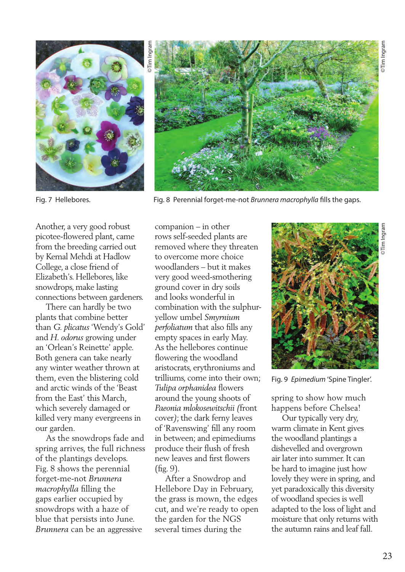



Fig. 7 Hellebores. Fig. 8 Perennial forget-me-not *Brunnera macrophylla* fills the gaps.

Another, a very good robust picotee-flowered plant, came from the breeding carried out by Kemal Mehdi at Hadlow College, a close friend of Elizabeth's. Hellebores, like snowdrops, make lasting connections between gardeners.

 There can hardly be two plants that combine better than *G. plicatus* 'Wendy's Gold' and *H. odorus* growing under an 'Orlean's Reinette' apple. Both genera can take nearly any winter weather thrown at them, even the blistering cold and arctic winds of the 'Beast from the East' this March, which severely damaged or killed very many evergreens in our garden.

 As the snowdrops fade and spring arrives, the full richness of the plantings develops. Fig. 8 shows the perennial forget-me-not *Brunnera macrophylla* filling the gaps earlier occupied by snowdrops with a haze of blue that persists into June. *Brunnera* can be an aggressive

companion – in other rows self-seeded plants are removed where they threaten to overcome more choice woodlanders – but it makes very good weed-smothering ground cover in dry soils and looks wonderful in combination with the sulphuryellow umbel *Smyrnium perfoliatum* that also fills any empty spaces in early May. As the hellebores continue flowering the woodland aristocrats, erythroniums and trilliums, come into their own; *Tulipa orphanidea* flowers around the young shoots of *Paeonia mlokosewitschii (*front cover*)*; the dark ferny leaves of 'Ravenswing' fill any room in between; and epimediums produce their flush of fresh new leaves and first flowers (fig. 9).

 After a Snowdrop and Hellebore Day in February, the grass is mown, the edges cut, and we're ready to open the garden for the NGS several times during the



Fig. 9 *Epimedium* 'Spine Tingler'.

spring to show how much happens before Chelsea!

 Our typically very dry, warm climate in Kent gives the woodland plantings a dishevelled and overgrown air later into summer. It can be hard to imagine just how lovely they were in spring, and yet paradoxically this diversity of woodland species is well adapted to the loss of light and moisture that only returns with the autumn rains and leaf fall.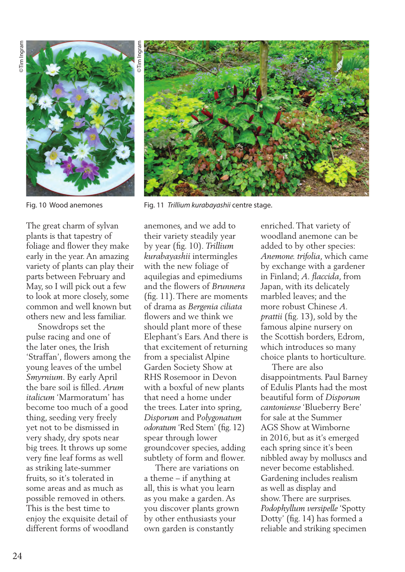

The great charm of sylvan plants is that tapestry of foliage and flower they make early in the year. An amazing variety of plants can play their parts between February and May, so I will pick out a few to look at more closely, some common and well known but others new and less familiar.

 Snowdrops set the pulse racing and one of the later ones, the Irish 'Straffan', flowers among the young leaves of the umbel *Smyrnium*. By early April the bare soil is filled. *Arum italicum* 'Marmoratum' has become too much of a good thing, seeding very freely yet not to be dismissed in very shady, dry spots near big trees. It throws up some very fine leaf forms as well as striking late-summer fruits, so it's tolerated in some areas and as much as possible removed in others. This is the best time to enjoy the exquisite detail of different forms of woodland



Fig. 10 Wood anemones Fig. 11 *Trillium kurabayashii* centre stage.

anemones, and we add to their variety steadily year by year (fig. 10). *Trillium kurabayashii* intermingles with the new foliage of aquilegias and epimediums and the flowers of *Brunnera*  (fig. 11). There are moments of drama as *Bergenia ciliata* flowers and we think we should plant more of these Elephant's Ears. And there is that excitement of returning from a specialist Alpine Garden Society Show at RHS Rosemoor in Devon with a boxful of new plants that need a home under the trees. Later into spring, *Disporum* and P*olygonatum odoratum* 'Red Stem' (fig. 12) spear through lower groundcover species, adding subtlety of form and flower.

 There are variations on a theme – if anything at all, this is what you learn as you make a garden. As you discover plants grown by other enthusiasts your own garden is constantly

enriched. That variety of woodland anemone can be added to by other species: *Anemone. trifolia*, which came by exchange with a gardener in Finland; *A. flaccida*, from Japan, with its delicately marbled leaves; and the more robust Chinese *A. prattii* (fig. 13), sold by the famous alpine nursery on the Scottish borders, Edrom, which introduces so many choice plants to horticulture.

 There are also disappointments. Paul Barney of Edulis Plants had the most beautiful form of *Disporum cantoniense* 'Blueberry Bere' for sale at the Summer AGS Show at Wimborne in 2016, but as it's emerged each spring since it's been nibbled away by molluscs and never become established. Gardening includes realism as well as display and show. There are surprises. *Podophyllum versipelle* 'Spotty Dotty' (fig. 14) has formed a reliable and striking specimen